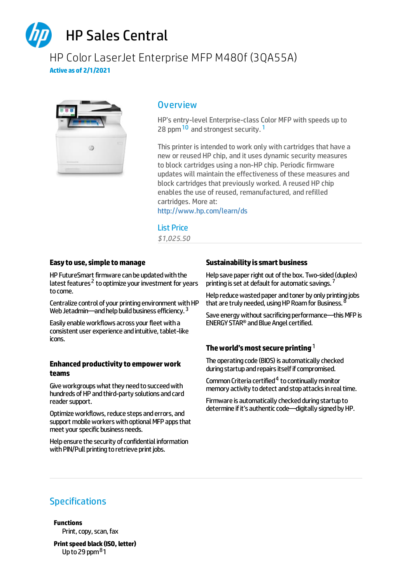

# HP Color LaserJet Enterprise MFP M480f (3QA55A) **Activeas of 2/1/2021**



## **Overview**

HP's entry-level Enterprise-class Color MFP with speeds up to 28 ppm <sup>10</sup> and strongest security.<sup>1</sup>

This printer is intended to work only with cartridges that have a new or reused HP chip, and it uses dynamic security measures to block cartridges using a non-HP chip. Periodic firmware updates will maintain the effectiveness of these measures and block cartridges that previously worked. A reused HP chip enables the use of reused, remanufactured, and refilled cartridges. More at:

<http://www.hp.com/learn/ds>

## List Price

*\$1,025.50*

## **Easy to use, simple to manage**

HP FutureSmart firmware can be updated with the latest features <sup>2</sup> to optimize your investment for years tocome.

Centralize control of your printing environment with HP <u>Contracte control of your printing critic of minements</u><br>Web Jetadmin—and help build business efficiency. <sup>3</sup>

Easily enable workflows across your fleet with a consistent user experience and intuitive, tablet-like icons.

## **Enhanced productivityto empowerwork teams**

Give workgroups what they need to succeed with hundreds of HP and third-party solutions and card reader support.

Optimize workflows, reduce steps and errors, and support mobile workers with optional MFP apps that meet your specific business needs.

Help ensure the security of confidential information with PIN/Pull printing to retrieve print jobs.

## **Sustainabilityissmart business**

Help save paper right out of the box. Two-sided (duplex) ncip save paper right oat of the sont two slacally<br>printing is set at default for automatic savings. <sup>7</sup>

Help reduce wasted paper and toner by only printing jobs<br>that are truly peeded using HP Roam for Business <sup>8</sup> that are truly needed, using HP Roam for Business.

Save energy without sacrificing performance—this MFP is ENERGY STAR<sup>®</sup> and Blue Angel certified.

## The world's most secure printing  $^1$

The operating code (BIOS) is automatically checked during startup and repairs itself if compromised.

Common Criteria certified $^{\text{4}}$  to continually monitor memory activity to detect and stop attacks in real time.

Firmware is automatically checked during startup to determine if it's authentic code—digitally signed by HP.

## Specifications

**Functions** Print, copy, scan, fax

**Printspeed black(ISO, letter)** up to 29 ppm <sup>8</sup>1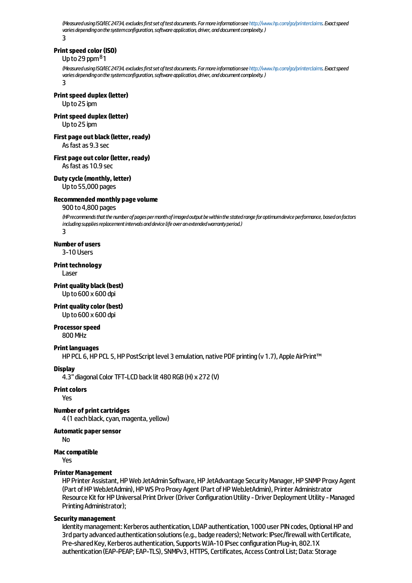*(MeasuredusingISO/IEC24734,excludesfirstsetoftestdocuments.Formoreinformationse[ehttp://www.hp.com/go/printerclaims](http://www.hp.com/go/printerclaims).Exactspeed variesdependingonthesystemconfiguration,softwareapplication,driver,anddocumentcomplexity. )* 3

#### **Print speed color (ISO)**

up to 29 ppm <sup>8</sup>1

*(MeasuredusingISO/IEC24734,excludesfirstsetoftestdocuments.Formoreinformationse[ehttp://www.hp.com/go/printerclaims](http://www.hp.com/go/printerclaims).Exactspeed variesdependingonthesystemconfiguration,softwareapplication,driver,anddocumentcomplexity. )* 3

### **Print speed duplex (letter)**

Upto25 ipm

#### **Print speed duplex (letter)**

Upto25 ipm

## **First page out black(letter, ready)**

As fast as 9.3 sec

## **First page outcolor(letter, ready)**

Asfastas 10.9 sec

#### **Dutycycle(monthly, letter)**

Upto55,000 pages

#### **Recommendedmonthly pagevolume**

#### 900 to4,800 pages

*(HPrecommendsthatthenumberofpagespermonthofimagedoutputbewithinthestatedrangeforoptimumdeviceperformance,basedonfactors* including supplies replacement intervals and device life over an extended warranty period.) 3

#### **Number of users**

3-10 Users

#### **Print technology**

Laser

#### **Print quality black(best)** Upto600 x 600 dpi

#### **Print qualitycolor(best)**

Upto600 x 600 dpi

## **Processorspeed**

800MHz

## **Print languages**

HP PCL 6, HP PCL 5, HP PostScript level 3 emulation, native PDF printing (v 1.7), Apple AirPrint™

#### **Display**

4.3" diagonal Color TFT-LCD back lit 480 RGB (H) x 272 (V)

#### **Print colors**

Yes

#### **Number of printcartridges**

4 (1 each black, cyan, magenta, yellow)

## **Automatic papersensor**

No

#### **Maccompatible**

Yes

## **Printer Management**

HP Printer Assistant, HP Web JetAdmin Software, HP JetAdvantage Security Manager, HP SNMP Proxy Agent (Part of HP WebJetAdmin), HP WS Pro Proxy Agent (Part of HP WebJetAdmin), Printer Administrator Resource Kit for HP Universal Print Driver (Driver Configuration Utility - Driver Deployment Utility - Managed PrintingAdministrator);

#### **Securitymanagement**

Identity management: Kerberos authentication, LDAP authentication, 1000 user PIN codes, Optional HP and 3rd party advanced authentication solutions (e.g., badge readers); Network: IPsec/firewall with Certificate, Pre-shared Key, Kerberos authentication, Supports WJA-10 IPsec configuration Plug-in, 802.1X authentication (EAP-PEAP; EAP-TLS), SNMPv3, HTTPS, Certificates, Access Control List; Data: Storage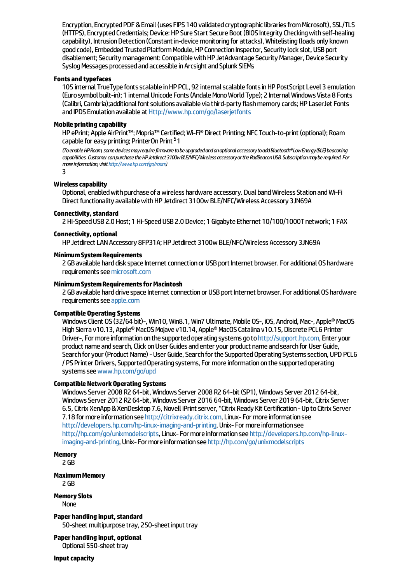Encryption, Encrypted PDF & Email (uses FIPS 140 validated cryptographic libraries from Microsoft), SSL/TLS (HTTPS), Encrypted Credentials: Device: HP Sure Start Secure Boot (BIOS Integrity Checking with self-healing capability), Intrusion Detection (Constant in-device monitoring for attacks), Whitelisting (loads only known good code), Embedded Trusted Platform Module, HP Connection Inspector, Security lock slot, USB port disablement: Security management: Compatible with HP JetAdvantage Security Manager, Device Security Syslog Messages processed and accessible in Arcsight and Splunk SIEMs

#### **Fontsand typefaces**

105 internal TrueType fonts scalable in HP PCL, 92 internal scalable fonts in HP PostScript Level 3 emulation (Eurosymbolbuilt-in); 1 internalUnicodeFonts(AndaleMonoWorldType); 2 InternalWindowsVista 8 Fonts (Calibri, Cambria);additional font solutions available via third-party flash memory cards; HP LaserJet Fonts and IPDS Emulation available at <Http://www.hp.com/go/laserjetfonts>

#### **Mobile printing capability**

HP ePrint; Apple AirPrint™; Mopria™ Certified; Wi-Fi® Direct Printing; NFC Touch-to-print (optional); Roam capable for easy printing; PrinterOn Print <sup>5</sup> 1

*(ToenableHPRoam,somedevicesmayrequirefirmwaretobeupgradedandanoptionalaccessorytoaddBluetooth®LowEnergy(BLE)beaconing capabilities.CustomercanpurchasetheHPJetdirect3100wBLE/NFC/WirelessaccessoryortheRadBeaconUSB.Subscriptionmayberequired.For more information, visit <http://www.hp.com/go/roam>* 

3

#### **Wirelesscapability**

Optional, enabled with purchase of a wireless hardware accessory. Dual band Wireless Station and Wi-Fi Direct functionality available with HP Jetdirect 3100w BLE/NFC/Wireless Accessory 3JN69A

#### **Connectivity, standard**

2 Hi-Speed USB 2.0 Host; 1 Hi-Speed USB 2.0 Device; 1 Gigabyte Ethernet 10/100/1000T network; 1 FAX

#### **Connectivity, optional**

HP Jetdirect LAN Accessory 8FP31A; HP Jetdirect 3100w BLE/NFC/Wireless Accessory 3JN69A

#### **MinimumSystemRequirements**

2 GB available hard disk space Internet connection or USB port Internet browser. For additional OS hardware requirements see [microsoft.com](http://microsoft.com)

#### **MinimumSystemRequirementsforMacintosh**

2 GB available hard drive space Internet connection or USB port Internet browser. For additional OS hardware requirements see [apple.com](http://apple.com)

#### **Compatible Operating Systems**

Windows Client OS (32/64 bit)-, Win10, Win8.1, Win7 Ultimate, Mobile OS-, iOS, Android, Mac-, Apple® MacOS High Sierra v10.13, Apple® MacOS Mojave v10.14, Apple® MacOS Catalina v10.15, Discrete PCL6 Printer Driver-, For more information on the supported operating systems go to <http://support.hp.com>, Enter your product name and search, Click on User Guides and enter your product name and search for User Guide, Search for your (Product Name) - User Guide, Search for the Supported Operating Systems section, UPD PCL6 / PS Printer Drivers, Supported Operating systems, For more information on the supported operating systems see [www.hp.com/go/upd](http://www.hp.com/go/upd)

## **Compatible NetworkOperating Systems**

Windows Server 2008 R2 64-bit, Windows Server 2008 R2 64-bit (SP1), Windows Server 2012 64-bit, Windows Server 2012 R2 64-bit, Windows Server 2016 64-bit, Windows Server 2019 64-bit, Citrix Server 6.5, Citrix XenApp & XenDesktop 7.6, Novell iPrint server, "Citrix Ready Kit Certification - Upto Citrix Server 7.18 formoreinformationsee<http://citrixready.citrix.com>,Linux-Formoreinformationsee <http://developers.hp.com/hp-linux-imaging-and-printing>, Unix-Formoreinformationsee http://hp.com/go/unixmodelscripts, Linux-Formore information see http://developers.hp.com/hp-linuximaging-and-printing, Unix-For more information see <http://hp.com/go/unixmodelscripts>

#### **Memory**

2 GB

#### **MaximumMemory**

2 GB

# **Memory Slots**

None

**Paper handling input, standard** 50-sheet multipurpose tray, 250-sheet input tray

**Paper handling input, optional** Optional 550-sheet tray

**Input capacity**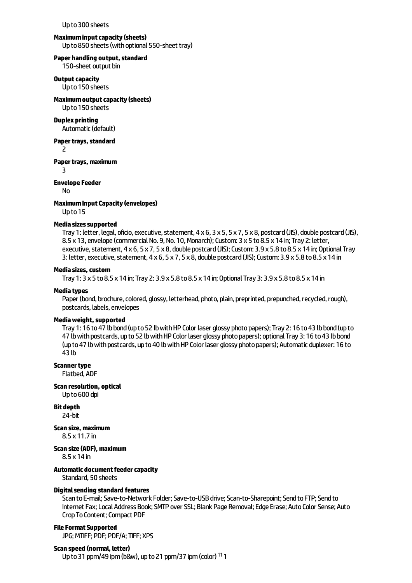Upto300 sheets

## **Maximuminputcapacity(sheets)**

Up to 850 sheets (with optional 550-sheet tray)

## **Paper handling output, standard**

150-sheet output bin

#### **Output capacity** Upto150 sheets

#### **Maximum output capacity (sheets)**

Upto150 sheets

## **Duplex printing**

Automatic (default)

#### **Paper trays, standard** 2

#### **Papertrays,maximum**

3

## **EnvelopeFeeder**

## No

**MaximumInputCapacity(envelopes)**

Upto15

#### **Mediasizessupported**

Tray 1: letter, legal, oficio, executive, statement,  $4 \times 6$ ,  $3 \times 5$ ,  $5 \times 7$ ,  $5 \times 8$ , postcard(JIS), double postcard(JIS), 8.5 x 13, envelope (commercial No. 9, No. 10, Monarch); Custom: 3 x 5 to 8.5 x 14 in; Tray 2: letter, executive, statement,  $4 \times 6$ ,  $5 \times 7$ ,  $5 \times 8$ , double postcard (JIS); Custom:  $3.9 \times 5.8$  to  $8.5 \times 14$  in; Optional Tray 3: letter, executive, statement,  $4 \times 6$ ,  $5 \times 7$ ,  $5 \times 8$ , double postcard (JIS); Custom: 3.9  $\times$  5.8 to 8.5  $\times$  14 in

#### **Mediasizes,custom**

Tray 1:  $3 \times 5$  to  $8.5 \times 14$  in; Tray 2:  $3.9 \times 5.8$  to  $8.5 \times 14$  in; Optional Tray  $3:3.9 \times 5.8$  to  $8.5 \times 14$  in

#### **Mediatypes**

Paper (bond, brochure, colored, glossy, letterhead, photo, plain, preprinted, prepunched, recycled, rough), postcards, labels, envelopes

### **Mediaweight,supported**

Tray 1: 16 to 47 lb bond (up to 52 lb with HP Color laser glossy photo papers); Tray 2: 16 to 43 lb bond (up to 47 lb with postcards, up to 52 lb with HP Color laser glossy photo papers); optional Tray 3: 16 to 43 lb bond (up to 47 lb with postcards, up to 40 lb with HP Color laser glossy photo papers); Automatic duplexer: 16 to 43 lb

## **Scanner type**

Flatbed, ADF

#### **Scan resolution, optical**

Upto600 dpi

## **Bit depth**

24-bit

## **Scan size, maximum**

8.5 x 11.7 in

#### **Scan size(ADF),maximum**

8.5 x 14 in

#### **Automatic document feeder capacity**

Standard, 50 sheets

#### **Digitalsending standard features**

Scan to E-mail; Save-to-Network Folder; Save-to-USB drive; Scan-to-Sharepoint; Send to FTP; Send to Internet Fax; Local Address Book; SMTP over SSL; Blank Page Removal; Edge Erase; Auto Color Sense; Auto CropToContent;Compact PDF

## **File Format Supported**

JPG; MTIFF; PDF; PDF/A; TIFF; XPS

#### **Scan speed (normal, letter)**

Upto31 ppm/49 ipm(b&w),upto21 ppm/37 ipm(color) 1 11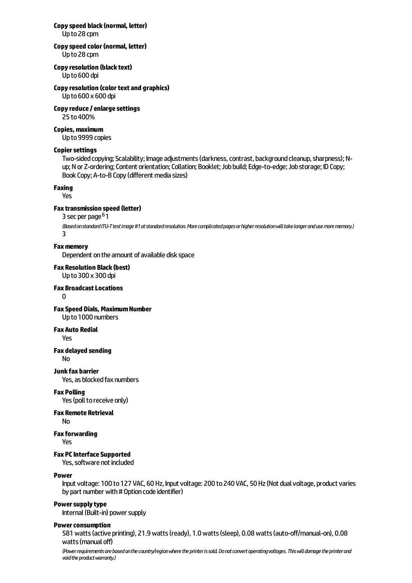## **Copyspeed black(normal, letter)**

Upto28 cpm

#### **Copyspeed color(normal, letter)** Upto28 cpm

## **Copy resolution (black text)**

Upto600 dpi

## **Copyresolution (colortextand graphics)**

Upto600 x 600 dpi

## **Copyreduce/enlargesettings**

25 to400%

# **Copies,maximum**

Up to 9999 copies

## **Copier settings**

Two-sided copying; Scalability; Image adjustments (darkness, contrast, background cleanup, sharpness); Nup; N or Z-ordering; Content orientation; Collation; Booklet; Job build; Edge-to-edge; Job storage; ID Copy; Book Copy; A-to-B Copy (different media sizes)

## **Faxing**

Yes

## **Faxtransmission speed (letter)**

s a memberon op.<br>3 sec per page <sup>6</sup>1

*(BasedonstandardITU-Ttestimage#1atstandardresolution.Morecomplicatedpagesorhigherresolutionwilltakelongerandusemorememory.)* 3

## **Fax memory**

Dependent on the amount of available disk space

# **Fax Resolution Black(best)**

# Upto300 x 300 dpi

## **Fax BroadcastLocations**

 $\Omega$ 

#### **FaxSpeed Dials, MaximumNumber** Upto1000 numbers

## **Fax Auto Redial**

Yes

## **Fax delayed sending**

No

## **Junkfax barrier**

Yes, as blocked fax numbers

## **Fax Polling**

Yes (poll to receive only)

## **Fax Remote Retrieval**

No

# **Faxforwarding**

Yes

## **Fax PC Interface Supported**

Yes, software not included

## **Power**

Input voltage: 100 to 127 VAC, 60 Hz, Input voltage: 200 to 240 VAC, 50 Hz (Not dual voltage, product varies by part number with # Option code identifier)

## **Power supply type**

Internal (Built-in) power supply

#### **Power consumption**

581 watts (active printing), 21.9 watts (ready), 1.0 watts (sleep), 0.08 watts (auto-off/manual-on), 0.08 watts (manual off)

*(Powerrequirementsarebasedonthecountry/regionwheretheprinterissold. Donotconvertoperatingvoltages.Thiswilldamagetheprinterand voidtheproductwarranty.)*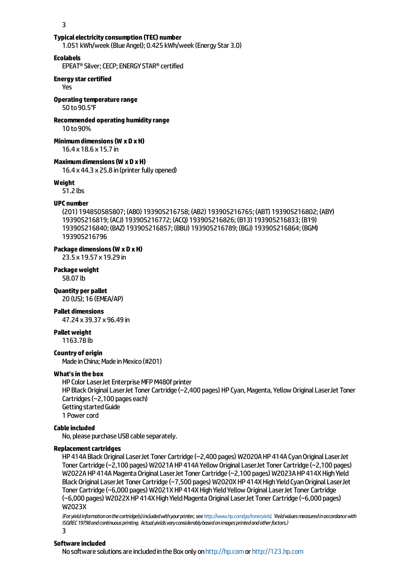3

#### **Typicalelectricityconsumption (TEC) number**

1.051 kWh/week (Blue Angel): 0.425 kWh/week (Energy Star 3.0)

#### **Ecolabels**

EPEAT®Silver;CECP;ENERGYSTAR®certified

#### **Energy star certified**

Yes

## **Operating temperature range**

50 to90.5°F

## **Recommended operating humidityrange**

10 to90%

#### **Minimumdimensions(W xD xH)**

16.4 x 18.6 x 15.7 in

#### **Maximumdimensions(W x D xH)**

16.4  $\times$  44.3  $\times$  25.8 in (printer fully opened)

#### **Weight**

51.2 lbs

#### **UPC number**

(201) 194850585807; (AB0) 193905216758; (AB2) 193905216765; (ABT) 193905216802; (ABY) 193905216819; (ACJ) 193905216772; (ACQ) 193905216826; (B13) 193905216833; (B19) 193905216840; (BAZ) 193905216857; (BBU) 193905216789; (BGJ) 193905216864; (BGM) 193905216796

#### **Package dimensions(W xD xH)**

23.5 x 19.57 x 19.29 in

#### **Packageweight**

58.07 lb

#### **Quantity per pallet**

20 (US); 16 (EMEA/AP)

#### **Pallet dimensions**

47.24 x 39.37 x 96.49 in

#### **Pallet weight**

1163.78 lb

### **Country of origin**

Made in China: Made in Mexico (#201)

#### **What'sin the box**

HP Color LaserJet Enterprise MFP M480f printer HP Black Original LaserJet Toner Cartridge (~2,400 pages) HP Cyan, Magenta, Yellow Original LaserJet Toner Cartridges ( $\sim$  2,100 pages each) Getting started Guide 1 Power cord

## **Cable included**

No, please purchase USB cable separately.

#### **Replacement cartridges**

HP 414A Black Original LaserJet Toner Cartridge (~2,400 pages) W2020A HP 414A Cyan Original LaserJet Toner Cartridge (~2,100 pages) W2021A HP 414A Yellow Original LaserJet Toner Cartridge (~2,100 pages) W2022A HP 414A Magenta Original LaserJet Toner Cartridge (~2,100 pages) W2023A HP 414X High Yield Black Original LaserJet Toner Cartridge (~7,500 pages) W2020XHP 414X High Yield Cyan Original LaserJet Toner Cartridge (~6,000 pages) W2021X HP 414X High Yield Yellow Original LaserJet Toner Cartridge (~6,000 pages)W2022XHP 414XHighYieldMagentaOriginalLaserJetTonerCartridge(~6,000 pages) W2023X

*(Foryieldinformationonthecartridge(s)includedwithyourprinter,see<http://www.hp.com/go/toneryield>. Yieldvaluesmeasuredinaccordancewith ISO/IEC19798andcontinuousprinting. Actualyieldsvaryconsiderablybasedonimagesprintedandotherfactors.)*

3

#### **Softwareincluded**

No software solutions are included in the Box only on <http://hp.com> or <http://123.hp.com>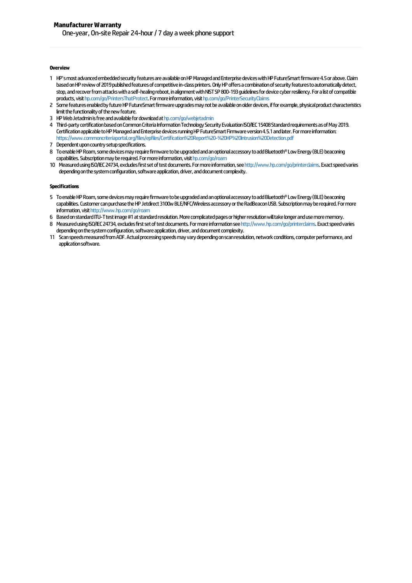#### **Overview**

- 1 HP'smostadvancedembeddedsecurityfeaturesareavailableonHPManagedandEnterprisedeviceswithHPFutureSmartfirmware4.5orabove.Claim based on HP review of 2019 published features of competitive in-class printers. Only HP offers a combination of security features to automatically detect, stop, and recover from attacks with a self-healing reboot, in alignment with NIST SP 800-193 guidelines for device cyber resiliency. For a list of compatible products, visit [hp.com/go/PrintersThatProtect](http://hp.com/go/PrintersThatProtect). For more information, visit hp.com/go/PrinterSecurityClaims
- 2 Some features enabled by future HP FutureSmart firmware upgrades may not be available on older devices, if for example, physical product characteristics limit the functionality of the new feature.
- 3 HP Web Jetadmin is free and available for download at [hp.com/go/webjetadmin](http://hp.com/go/webjetadmin)
- 4 Third-party certification based on Common Criteria Information Technology Security Evaluation ISO/IEC 15408 Standard requirements as of May 2019. Certification applicable to HP Managed and Enterprise devices running HP FutureSmart Firmware version 4.5.1 and later. For more information: <https://www.commoncriteriaportal.org/files/epfiles/Certification%20Report%20-%20HP%20Intrusion%20Detection.pdf>
- 7 Dependent upon country setup specifications.
- 8 Toenable HP Roam, some devices may require firmware to be upgraded and an optional accessory to add Bluetooth® Low Energy (BLE) beaconing capabilities. Subscription may be required. For more information, visit [hp.com/go/roam](http://hp.com/go/roam)
- 10 Measured using ISO/IEC 24734, excludes first set of test documents. For more information, see http://www.hp.com/go/printerclaims. Exact speed varies depending on the system configuration, software application, driver, and document complexity.

#### **Specifications**

- 5 To enable HP Roam, some devices may require firmware to be upgraded and an optional accessory to add Bluetooth® Low Energy (BLE) beaconing capabilities. Customer can purchase the HP Jetdirect 3100w BLE/NFC/Wireless accessory or the RadBeacon USB. Subscription may be required. For more information, visit <http://www.hp.com/go/roam>
- 6 BasedonstandardITU-Ttestimage#1atstandardresolution.Morecomplicatedpagesorhigherresolutionwilltakelongerandusemorememory. 8 Measured using ISO/IEC 24734, excludes first set of test documents. For more information see http://www.hp.com/go/printerclaims. Exact speed varies
- depending on the system configuration, software application, driver, and document complexity.
- 11 ScanspeedsmeasuredfromADF.Actualprocessingspeedsmayvarydependingonscanresolution,networkconditions,computerperformance,and applicationsoftware.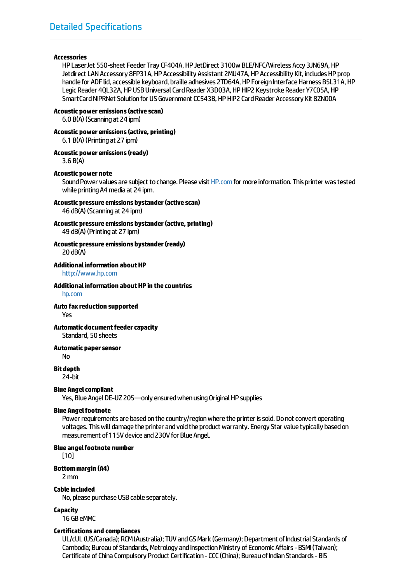#### **Accessories**

HP LaserJet 550-sheet Feeder Tray CF404A, HP JetDirect 3100w BLE/NFC/Wireless Accy 3JN69A, HP Jetdirect LAN Accessory 8FP31A, HP Accessibility Assistant 2MU47A, HP Accessibility Kit, includes HP prop handle for ADF lid, accessible keyboard, braille adhesives 2TD64A, HP Foreign Interface Harness B5L31A, HP Legic Reader 4QL32A, HP USB Universal Card Reader X3D03A, HP HIP2 Keystroke Reader Y7C05A, HP SmartCard NIPRNet Solution for US Government CC543B, HP HIP2 Card Reader Accessory Kit 8ZN00A

### **Acoustic poweremissions(activescan)**

6.0 B(A) (Scanningat 24 ipm)

## **Acoustic poweremissions(active, printing)**

6.1 B(A) (Printingat 27 ipm)

**Acoustic poweremissions(ready)**

3.6 B(A)

#### **Acoustic power note**

Sound Power values are subject to change. Please visit [HP.com](http://hp.com) for more information. This printer was tested while printing A4 media at 24 ipm.

**Acoustic pressureemissions bystander(activescan)**

46 dB(A) (Scanningat 24 ipm)

**Acoustic pressureemissions bystander(active, printing)** 49 dB(A) (Printingat 27 ipm)

#### **Acoustic pressure emissions bystander (ready)** 20 dB(A)

**Additionalinformation aboutHP**

<http://www.hp.com>

#### **Additionalinformation aboutHP in thecountries**

[hp.com](http://hp.com)

## **Auto faxreduction supported**

Yes

# **Automatic document feeder capacity**

Standard, 50 sheets

#### **Automatic papersensor**

No

## **Bit depth**

24-bit

#### **Blue Angelcompliant**

Yes, Blue Angel DE-UZ205—only ensured when using Original HP supplies

#### **Blue Angelfootnote**

Power requirements are based on the country/region where the printer is sold. Do not convert operating voltages. This will damage the printer and void the product warranty. Energy Star value typically based on measurement of 115V device and 230V for Blue Angel.

#### **Blueangelfootnote number**

[10]

#### **Bottommargin (A4)**

2mm

## **Cable included**

No. please purchase USB cable separately.

#### **Capacity**

16 GBeMMC

#### **Certificationsand compliances**

UL/cUL (US/Canada); RCM (Australia); TUV and GS Mark (Germany); Department of Industrial Standards of Cambodia; Bureau of Standards, Metrology and Inspection Ministry of Economic Affairs - BSMI (Taiwan); Certificate of China Compulsory Product Certification - CCC (China); Bureau of Indian Standards - BIS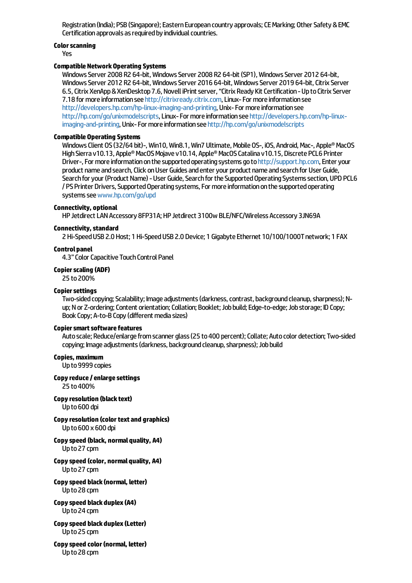Registration (India); PSB (Singapore); Eastern European country approvals; CE Marking; Other Safety & EMC Certification approvals as required by individual countries.

## **Color scanning**

Yes

#### **Compatible NetworkOperating Systems**

Windows Server 2008 R2 64-bit, Windows Server 2008 R2 64-bit (SP1), Windows Server 2012 64-bit, Windows Server 2012 R2 64-bit, Windows Server 2016 64-bit, Windows Server 2019 64-bit, Citrix Server 6.5,Citrix XenApp&XenDesktop7.6, Novell iPrintserver,"Citrix Ready KitCertification-UptoCitrixServer 7.18 for more information see <http://citrixready.citrix.com>, Linux-For more information see <http://developers.hp.com/hp-linux-imaging-and-printing>, Unix-Formore information see [http://hp.com/go/unixmodelscript](http://hp.com/go/unixmodelscripts)s, Linux-Formore information see http://developers.hp.com/hp-linuximaging-and-printing, Unix-For more information see <http://hp.com/go/unixmodelscripts>

### **Compatible Operating Systems**

Windows Client OS (32/64 bit)-, Win10, Win8.1, Win7 Ultimate, Mobile OS-, iOS, Android, Mac-, Apple® MacOS High Sierra v10.13, Apple® MacOS Mojave v10.14, Apple® MacOS Catalina v10.15, Discrete PCL6 Printer Driver-, For more information on the supported operating systems go to <http://support.hp.com>, Enter your product name and search, Click on User Guides and enter your product name and search for User Guide, Search for your (Product Name) - User Guide, Search for the Supported Operating Systems section, UPD PCL6 / PS Printer Drivers, Supported Operating systems, For more information on the supported operating systems see [www.hp.com/go/upd](http://www.hp.com/go/upd)

#### **Connectivity, optional**

HP Jetdirect LAN Accessory 8FP31A; HP Jetdirect 3100w BLE/NFC/Wireless Accessory 3JN69A

#### **Connectivity,standard**

2 Hi-Speed USB 2.0 Host; 1 Hi-Speed USB 2.0 Device; 1 Gigabyte Ethernet 10/100/1000T network; 1 FAX

#### **Controlpanel**

4.3" Color Capacitive Touch Control Panel

#### **Copierscaling (ADF)**

25 to200%

#### **Copier settings**

Two-sided copying; Scalability; Image adjustments (darkness, contrast, background cleanup, sharpness); Nup; N or Z-ordering; Content orientation; Collation; Booklet; Job build; Edge-to-edge; Job storage; ID Copy; Book Copy; A-to-B Copy (different media sizes)

#### **Copier smart software features**

Auto scale; Reduce/enlarge from scanner glass (25 to 400 percent); Collate; Auto color detection; Two-sided copying; Image adjustments (darkness, background cleanup, sharpness); Job build

#### **Copies, maximum**

Up to 9999 copies

#### **Copyreduce/enlargesettings**

25 to400%

- **Copy resolution (black text)** Upto600 dpi
- **Copyresolution (colortextand graphics)** Upto600 x 600 dpi
- **Copyspeed (black, normalquality, A4)** Upto27 cpm

#### **Copyspeed (color, normalquality, A4)** Upto27 cpm

**Copyspeed black(normal, letter)** Upto28 cpm

**Copyspeed blackduplex(A4)** Upto24 cpm

**Copyspeed blackduplex(Letter)** Upto25 cpm

**Copyspeed color(normal, letter)** Upto28 cpm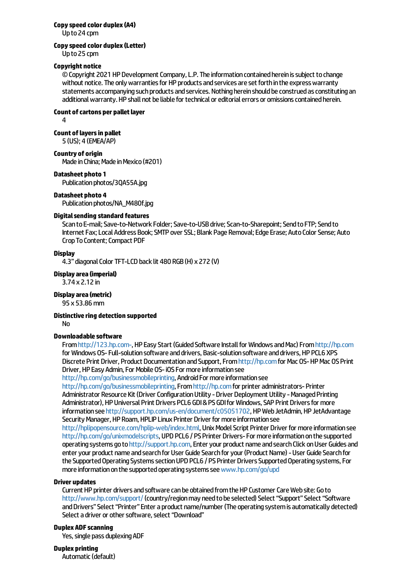#### **Copyspeed color duplex(A4)**

Upto24 cpm

#### **Copyspeed color duplex(Letter)**

Upto25 cpm

#### **Copyright notice**

© Copyright 2021 HP Development Company, L.P. The information contained herein is subject to change without notice. The only warranties for HP products and services are set forth in the express warranty statements accompanying such products and services. Nothing herein should be construed as constituting an additional warranty. HP shall not be liable for technical or editorial errors or omissions contained herein.

#### **Count of cartons per pallet layer**

4

## **Count oflayersin pallet**

5 (US); 4 (EMEA/AP)

## **Country of origin**

Made in China; Made in Mexico (#201)

#### **Datasheet photo 1**

Publication photos/3QA55A.jpg

#### **Datasheet photo 4**

Publication photos/NA\_M480f.jpg

#### **Digitalsending standard features**

Scanto E-mail; Save-to-Network Folder; Save-to-USB drive; Scan-to-Sharepoint; Send to FTP; Send to Internet Fax; Local Address Book; SMTP over SSL; Blank Page Removal; Edge Erase; Auto Color Sense; Auto CropToContent;Compact PDF

#### **Display**

4.3" diagonal Color TFT-LCD back lit 480 RGB (H) x 272 (V)

## **Displayarea(imperial)**

3.74 x 2.12 in

#### **Displayarea(metric)** 95 x 53.86mm

#### **Distinctive ring detection supported** No

## **Downloadablesoftware**

From [http://123.hp.com-,](http:) HP Easy Start (Guided Software Install for Windows and Mac) From <http://hp.com> for Windows OS-Full-solution software and drivers, Basic-solution software and drivers, HP PCL6 XPS Discrete Print Driver, Product Documentation and Support, From <http://hp.com> for Mac OS-HP Mac OS Print Driver, HP Easy Admin, For Mobile OS-iOS For more information see

<http://hp.com/go/businessmobileprinting>, Android For more information see

<http://hp.com/go/businessmobileprinting>, From <http://hp.com> for printer administrators-Printer Administrator Resource Kit (Driver Configuration Utility - Driver Deployment Utility - Managed Printing Administrator), HP Universal Print Drivers PCL6 GDI & PS GDI for Windows, SAP Print Drivers for more information see <http://support.hp.com/us-en/document/c05051702>, HP Web JetAdmin, HP JetAdvantage Security Manager, HP Roam, HPLIP Linux Printer Driver for more information see

<http://hplipopensource.com/hplip-web/index.html>, Unix Model Script Printer Driver for more information see <http://hp.com/go/unixmodelscripts>, UPD PCL6 / PS Printer Drivers-For more information on the supported operating systems go to <http://support.hp.com>, Enter your product name and search Click on User Guides and enter your product name and search for User Guide Search for your (Product Name) - User Guide Search for the Supported Operating Systems section UPD PCL6 / PS Printer Drivers Supported Operating systems, For more information on the supported operating systems see [www.hp.com/go/upd](http://www.hp.com/go/upd)

## **Driver updates**

Current HP printer drivers and software can be obtained from the HP Customer Care Web site: Goto <http://www.hp.com/support/>(country/region may need to be selected) Select "Support" Select "Software and Drivers" Select "Printer" Enter a product name/number (The operating system is automatically detected) Select a driver or other software, select "Download"

## **Duplex ADFscanning**

Yes, single pass duplexing ADF

#### **Duplex printing**

Automatic(default)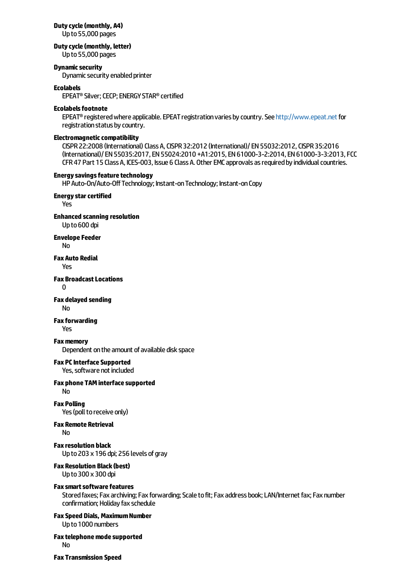#### **Dutycycle(monthly, A4)**

Upto55,000 pages

#### **Dutycycle(monthly, letter)**

Upto55,000 pages

## **Dynamicsecurity**

Dynamic security enabled printer

#### **Ecolabels**

EPEAT®Silver;CECP;ENERGYSTAR®certified

#### **Ecolabelsfootnote**

EPEAT<sup>®</sup> registered where applicable. EPEAT registration varies by country. See <http://www.epeat.net> for registration status by country.

#### **Electromagnetic compatibility**

CISPR 22:2008 (International) Class A, CISPR 32:2012 (International)/ EN 55032:2012, CISPR 35:2016 (International)/EN55035:2017,EN55024:2010 +A1:2015,EN61000-3-2:2014,EN61000-3-3:2013,FCC CFR 47 Part 15 Class A, ICES-003, Issue 6 Class A. Other EMC approvals as required by individual countries.

#### **Energy savings feature technology**

HP Auto-On/Auto-Off Technology; Instant-on Technology; Instant-on Copy

#### **Energystarcertified**

Yes

**Enhanced scanning resolution** Upto600 dpi

**Envelope Feeder** 

No

**Fax Auto Redial** Yes

**Fax BroadcastLocations**

 $\Omega$ 

**Fax delayed sending** No

**Faxforwarding** Yes

#### **Fax memory**

Dependent on the amount of available disk space

#### **Fax PC Interface Supported** Yes, software not included

**Fax phone TAMinterfacesupported** No

### **Fax Polling** Yes (poll to receive only)

**Fax Remote Retrieval**

No

**Faxresolution black** Up to 203 x 196 dpi; 256 levels of gray

**Fax Resolution Black(best)** Upto300 x 300 dpi

#### **Fax smart software features**

Stored faxes; Fax archiving; Fax forwarding; Scale to fit; Fax address book; LAN/Internet fax; Fax number confirmation; Holiday fax schedule

**FaxSpeed Dials, MaximumNumber** Upto1000 numbers

**Faxtelephonemodesupported** No

**Fax Transmission Speed**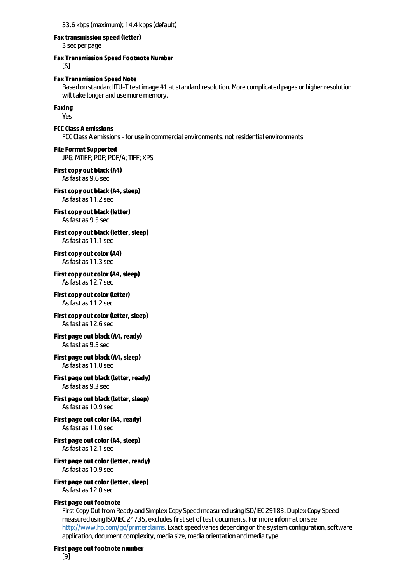#### 33.6 kbps(maximum); 14.4 kbps(default)

#### **Faxtransmission speed (letter)**

3 sec per page

**Fax Transmission Speed Footnote Number** [6]

#### **Fax Transmission Speed Note**

Based on standard ITU-T test image #1 at standard resolution. More complicated pages or higher resolution will take longer and use more memory.

## **Faxing**

Yes

## **FCCClass A emissions**

FCC Class A emissions - for use in commercial environments, not residential environments

**File Format Supported** JPG; MTIFF; PDF; PDF/A; TIFF; XPS

**First copy out black (A4)** As fast as 9.6 sec

**Firstcopy out black(A4,sleep)** Asfastas 11.2 sec

**Firstcopy out black(letter)** As fast as 9.5 sec

**First copy out black (letter, sleep)** Asfastas 11.1 sec

**First copy out color (A4)** Asfastas 11.3 sec

- **First copy out color (A4, sleep)** Asfastas 12.7 sec
- **First copy out color (letter)** As fast as 11.2 sec

**First copy out color (letter, sleep)** Asfastas 12.6 sec

**First page out black(A4, ready)** As fast as 9.5 sec

- **First page out black(A4,sleep)** Asfastas 11.0 sec
- **First page out black(letter, ready)** Asfastas 9.3 sec
- **First page out black(letter,sleep)** Asfastas 10.9 sec

**First page outcolor(A4, ready)** As fast as 11.0 sec

**First page outcolor(A4,sleep)** Asfastas 12.1 sec

**First page outcolor(letter, ready)** As fast as 10.9 sec

#### **First page out color (letter, sleep)** Asfastas 12.0 sec

#### **First page out footnote**

First Copy Out from Ready and Simplex Copy Speed measured using ISO/IEC 29183, Duplex Copy Speed measured using ISO/IEC 24735, excludes first set of test documents. For more information see <http://www.hp.com/go/printerclaims>. Exact speed varies depending on the system configuration, software application, document complexity, media size, media orientation and media type.

#### **First page out footnote number**

[9]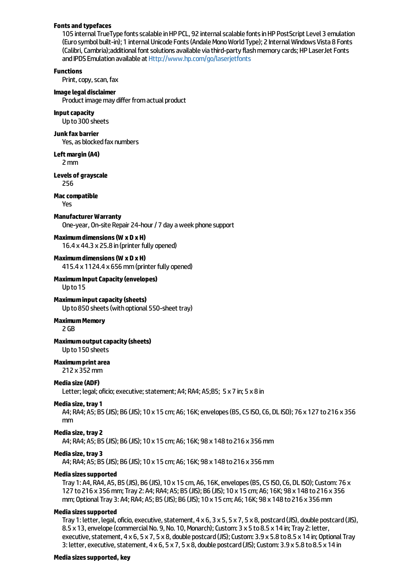#### **Fontsand typefaces**

105 internal TrueType fonts scalable in HP PCL, 92 internal scalable fonts in HP PostScript Level 3 emulation (Euro symbol built-in); 1 internal Unicode Fonts (Andale Mono World Type); 2 Internal Windows Vista 8 Fonts (Calibri, Cambria);additional font solutions available via third-party flash memory cards; HP LaserJet Fonts and IPDS Emulation available at <Http://www.hp.com/go/laserjetfonts>

#### **Functions**

Print, copy, scan, fax

#### **Imagelegaldisclaimer** Product image may differ from actual product

#### **Inputcapacity**

Upto300 sheets

#### **Junkfax barrier**

Yes, as blocked fax numbers

**Leftmargin (A4)** 2mm

**Levels of grayscale** 256

#### **Maccompatible** Yes

## **Manufacturer Warranty**

One-year, On-site Repair 24-hour / 7 day a week phone support

#### **Maximumdimensions(W x D xH)**  $16.4 \times 44.3 \times 25.8$  in (printer fully opened)

#### **Maximumdimensions(W x D xH)**

415.4 x 1124.4 x 656 mm (printer fully opened)

#### **MaximumInputCapacity(envelopes)**

#### Upto15

#### **Maximuminputcapacity(sheets)** Up to 850 sheets (with optional 550-sheet tray)

#### **MaximumMemory**

2 GB

#### **Maximumoutputcapacity(sheets)** Upto150 sheets

#### **Maximumprintarea**

212 x 352mm

#### **Mediasize(ADF)**

Letter; legal; oficio; executive; statement; A4; RA4; A5;B5; 5 x 7 in; 5 x 8 in

#### **Mediasize,tray 1**

A4; RA4; A5; B5 (JIS); B6 (JIS); 10 x 15 cm; A6; 16K;envelopes(B5,C5 ISO,C6, DLISO); 76 x 127 to216 x 356 mm

#### **Mediasize,tray 2**

A4; RA4; A5; B5 (JIS); B6 (JIS); 10 x 15 cm; A6; 16K; 98 x 148 to216 x 356mm

#### **Mediasize,tray 3**

A4; RA4; A5; B5 (JIS); B6 (JIS); 10 x 15 cm; A6; 16K; 98 x 148 to216 x 356mm

#### **Mediasizessupported**

Tray 1: A4, RA4, A5, B5 (JIS), B6 (JIS), 10 x 15 cm, A6, 16K, envelopes (B5, C5 ISO, C6, DL ISO); Custom: 76 x 127 to216 x 356mm;Tray 2: A4; RA4; A5; B5 (JIS); B6 (JIS); 10 x 15 cm; A6; 16K; 98 x 148 to216 x 356 mm; OptionalTray 3: A4; RA4; A5; B5 (JIS); B6 (JIS); 10 x 15 cm; A6; 16K; 98 x 148 to216 x 356mm

#### **Mediasizessupported**

Tray 1: letter, legal, oficio, executive, statement, 4 x 6, 3 x 5, 5 x 7, 5 x 8, postcard (JIS), double postcard (JIS), 8.5 x 13, envelope (commercial No. 9, No. 10, Monarch); Custom: 3 x 5 to 8.5 x 14 in; Tray 2: letter, executive, statement,  $4 \times 6$ ,  $5 \times 7$ ,  $5 \times 8$ , double postcard (JIS); Custom: 3.9  $\times$  5.8 to 8.5  $\times$  14 in; Optional Tray 3: letter, executive, statement,  $4 \times 6$ ,  $5 \times 7$ ,  $5 \times 8$ , double postcard (JIS); Custom:  $3.9 \times 5.8$  to  $8.5 \times 14$  in

#### **Mediasizessupported, key**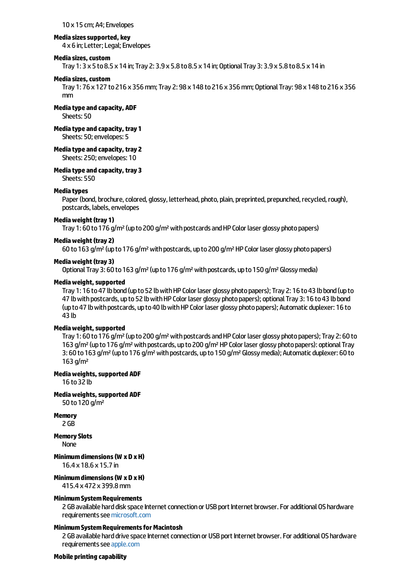10 x 15 cm; A4;Envelopes

#### **Mediasizessupported, key**

4 x 6 in; Letter; Legal; Envelopes

#### **Mediasizes,custom**

Tray 1: 3 x 5 to8.5 x 14 in;Tray 2: 3.9 x 5.8 to8.5 x 14 in; OptionalTray 3: 3.9 x 5.8 to8.5 x 14 in

#### **Mediasizes,custom**

Tray 1: 76 x 127 to 216 x 356 mm; Tray 2: 98 x 148 to 216 x 356 mm; Optional Tray: 98 x 148 to 216 x 356 mm

#### **Mediatypeand capacity, ADF**

Sheets: 50

#### **Media type and capacity, tray 1**

Sheets: 50; envelopes: 5

**Mediatypeand capacity,tray 2**

Sheets: 250; envelopes: 10

**Mediatypeand capacity,tray 3**

#### Sheets: 550

#### **Mediatypes**

Paper (bond, brochure, colored, glossy, letterhead, photo, plain, preprinted, prepunched, recycled, rough), postcards, labels, envelopes

#### **Mediaweight(tray 1)**

Tray 1: 60 to 176 g/m<sup>2</sup> (up to 200 g/m<sup>2</sup> with postcards and HP Color laser glossy photo papers)

#### **Mediaweight(tray 2)**

60 to 163 g/m<sup>2</sup> (up to 176 g/m<sup>2</sup> with postcards, up to 200 g/m<sup>2</sup> HP Color laser glossy photo papers)

#### **Mediaweight(tray 3)**

Optional Tray 3: 60 to 163 g/m<sup>2</sup> (up to 176 g/m<sup>2</sup> with postcards, up to 150 g/m<sup>2</sup> Glossy media)

#### **Mediaweight,supported**

Tray 1: 16 to 47 lb bond (up to 52 lb with HP Color laser glossy photo papers); Tray 2: 16 to 43 lb bond (up to 47 lb with postcards, up to 52 lb with HP Color laser glossy photo papers); optional Tray 3: 16 to 43 lb bond (up to 47 lb with postcards, up to 40 lb with HP Color laser glossy photo papers); Automatic duplexer: 16 to 43 lb

#### **Mediaweight,supported**

Tray 1: 60 to 176 g/m<sup>2</sup> (up to 200 g/m<sup>2</sup> with postcards and HP Color laser glossy photo papers); Tray 2: 60 to 163 g/m<sup>2</sup> (up to 176 g/m<sup>2</sup> with postcards, up to 200 g/m<sup>2</sup> HP Color laser glossy photo papers): optional Tray 3: 60 to 163 g/m<sup>2</sup> (up to 176 g/m<sup>2</sup> with postcards, up to 150 g/m<sup>2</sup> Glossy media); Automatic duplexer: 60 to  $163$   $a/m^2$ 

#### **Mediaweights,supported ADF**

16 to32 lb

**Mediaweights,supported ADF** 50 to120 g/m²

**Memory**

2 GB

#### **Memory Slots**

None

#### **Minimumdimensions(W xD xH)**

16.4 x 18.6 x 15.7 in

#### **Minimumdimensions(W xD xH)**

415.4 x 472 x 399.8mm

#### **MinimumSystemRequirements**

2 GB available hard disk space Internet connection or USB port Internet browser. For additional OS hardware requirements see [microsoft.com](http://microsoft.com)

#### **MinimumSystemRequirementsforMacintosh**

2 GB available hard drive space Internet connection or USB port Internet browser. For additional OS hardware requirements see [apple.com](http://apple.com)

#### **Mobile printing capability**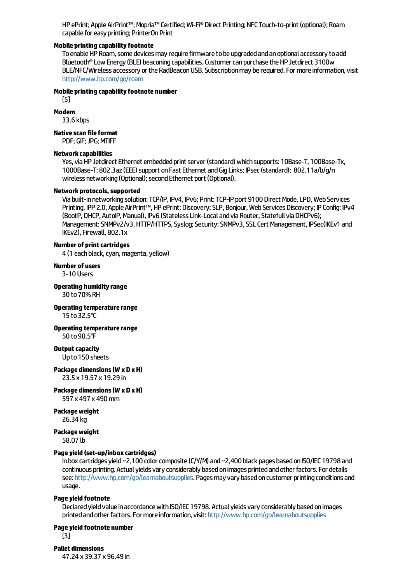HP ePrint: Apple AirPrint™; Mopria™ Certified; Wi-Fi® Direct Printing; NFC Touch-to-print (optional); Roam capable for easy printing; PrinterOn Print

#### **Mobile printing capabilityfootnote**

To enable HP Roam, some devices may require firmware to be upgraded and an optional accessory to add Bluetooth® Low Energy (BLE) beaconing capabilities. Customer can purchase the HP Jetdirect 3100w BLE/NFC/Wireless accessory or the RadBeacon USB. Subscription may be required. For more information, visit <http://www.hp.com/go/roam>

#### **Mobile printing capabilityfootnote number**

[5]

#### **Modem**

33.6 kbps

## **Native scan file format**

PDF; GIF;JPG;MTIFF

#### **Networkcapabilities**

Yes, via HP Jetdirect Ethernet embedded print server (standard) which supports: 10Base-T, 100Base-Tx, 1000Base-T; 802.3az (EEE) support on Fast Ethernet and Gig Links; IPsec (standard); 802.11a/b/g/n wireless networking (Optional); second Ethernet port (Optional).

#### **Networkprotocols,supported**

Via built-in networking solution: TCP/IP, IPv4, IPv6; Print: TCP-IP port 9100 Direct Mode, LPD, Web Services Printing, IPP 2.0, Apple AirPrint™, HP ePrint; Discovery: SLP, Bonjour, Web Services Discovery; IP Config: IPv4 (BootP, DHCP, AutolP, Manual), IPv6 (Stateless Link-Local and via Router, Statefull via DHCPv6); Management: SNMPv2/v3, HTTP/HTTPS, Syslog; Security: SNMPv3, SSL Cert Management, IPSec(IKEv1 and IKEv2),Firewall, 802.1x

#### **Number of print cartridges**

4 (1 each black, cyan, magenta, yellow)

## **Number of users**

3-10 Users

**Operating humidityrange** 30 to 70% RH

**Operating temperature range** 15 to32.5°C

**Operating temperature range** 50 to90.5°F

#### **Output capacity** Upto150 sheets

#### **Package dimensions(W xD xH)** 23.5 x 19.57 x 19.29 in

**Package dimensions(W xD xH)** 597 x 497 x 490mm

## **Packageweight**

26.34 kg

#### **Packageweight** 58.07 lb

## **Pageyield (set-up/inboxcartridges)**

In box cartridges yield ~2,100 color composite (C/Y/M) and ~2,400 black pages based on ISO/IEC 19798 and continuous printing. Actual yields vary considerably based on images printed and other factors. For details see: <http://www.hp.com/go/learnaboutsupplies>. Pages may vary based on customer printing conditions and usage.

#### **Page yield footnote**

Declared yield value in accordance with ISO/IEC 19798. Actual yields vary considerably based on images printed and other factors. For more information, visit: <http://www.hp.com/go/learnaboutsupplies>

## **Pageyield footnote number**

[3]

**Pallet dimensions** 47.24 x 39.37 x 96.49 in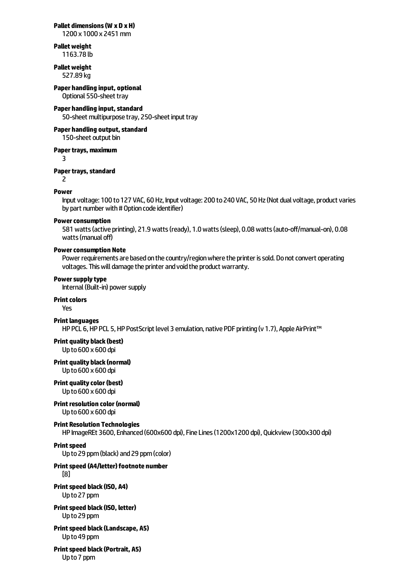## **Pallet dimensions(W x D xH)**

1200 x 1000 x 2451mm

#### **Palletweight** 1163.78 lb

**Pallet weight** 

527.89 kg

## **Paper handling input, optional**

Optional 550-sheet tray

## **Paper handling input, standard**

50-sheet multipurpose tray, 250-sheet input tray

## **Paper handling output, standard**

150-sheet output bin

**Paper trays, maximum** 

3

## **Paper trays, standard**

## 2

## **Power**

Input voltage: 100 to 127 VAC, 60 Hz, Input voltage: 200 to 240 VAC, 50 Hz (Not dual voltage, product varies by part number with # Option code identifier)

#### **Power consumption**

581 watts (active printing), 21.9 watts (ready), 1.0 watts (sleep), 0.08 watts (auto-off/manual-on), 0.08 watts (manual off)

## **Power consumption Note**

Power requirements are based on the country/region where the printer is sold. Do not convert operating voltages. This will damage the printer and void the product warranty.

## **Power supply type**

Internal (Built-in) power supply

#### **Print colors**

Yes

#### **Print languages**

HP PCL 6, HP PCL 5, HP PostScript level 3 emulation, native PDF printing (v 1.7), Apple AirPrint™

## **Print quality black(best)**

## Upto600 x 600 dpi

## **Print quality black(normal)**

Upto600 x 600 dpi

## **Print qualitycolor(best)**

Upto600 x 600 dpi

## **Print resolution color (normal)**

Upto600 x 600 dpi

## **Print Resolution Technologies**

HP ImageREt 3600,Enhanced(600x600 dpi),FineLines(1200x1200 dpi), Quickview(300x300 dpi)

## **Print speed**

Up to 29 ppm (black) and 29 ppm (color)

#### **Print speed (A4/letter) footnote number** [8]

#### **Printspeed black(ISO, A4)** Upto27 ppm

**Printspeed black(ISO, letter)** Upto29 ppm

#### **Printspeed black(Landscape, A5)** Upto49 ppm

**Printspeed black(Portrait, A5)** Upto7 ppm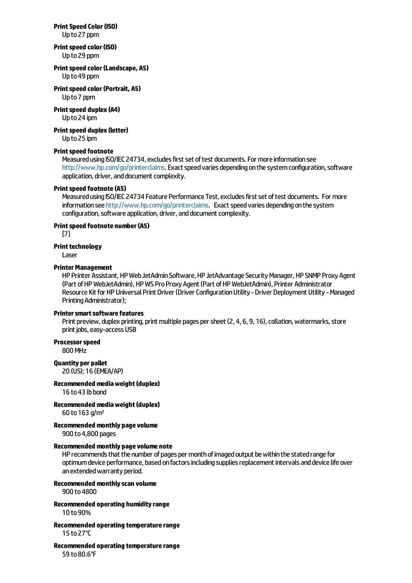## **Print Speed Color (ISO)**

Upto27 ppm

**Printspeed color(ISO)**

Upto29 ppm

## **Printspeed color(Landscape, A5)**

Upto49 ppm

**Printspeed color(Portrait, A5)** Upto7 ppm

## **Print speed duplex (A4)**

Upto24 ipm

## **Print speed duplex (letter)**

Upto25 ipm

## **Print speed footnote**

Measured using ISO/IEC 24734, excludes first set of test documents. For more information see <http://www.hp.com/go/printerclaims>. Exact speed varies depending on the system configuration, software application, driver, and document complexity.

#### **Print speed footnote (A5)**

Measured using ISO/IEC 24734 Feature Performance Test, excludes first set of test documents. For more  $information see <http://www.hp.com/go/primerclains>. Exact speed varies depending on the system$ configuration, software application, driver, and document complexity.

#### **Print speed footnote number (A5)**

[7]

#### **Print technology**

Laser

#### **Printer Management**

HP Printer Assistant, HP Web JetAdmin Software, HP JetAdvantage Security Manager, HP SNMP Proxy Agent (Part of HP WebJetAdmin), HP WS Pro Proxy Agent (Part of HP WebJetAdmin), Printer Administrator Resource Kit for HP Universal Print Driver (Driver Configuration Utility - Driver Deployment Utility - Managed PrintingAdministrator);

#### **Printer smart software features**

Print preview, duplex printing, print multiple pages per sheet (2, 4, 6, 9, 16), collation, watermarks, store print jobs, easy-access USB

#### **Processorspeed**

800MHz

## **Quantity per pallet**

20 (US); 16 (EMEA/AP)

#### **Recommendedmediaweight(duplex)**

16 to 43 lb bond

## **Recommendedmediaweight(duplex)**

60 to163 g/m²

#### **Recommendedmonthly pagevolume**

900 to4,800 pages

#### **Recommendedmonthly pagevolume note**

HP recommends that the number of pages per month of imaged output be within the stated range for optimum device performance, based on factors including supplies replacement intervals and device life over an extended warranty period.

#### **Recommendedmonthlyscan volume**

900 to4800

#### **Recommended operating humidityrange** 10 to90%

**Recommended operating temperature range** 15 to27°C

#### **Recommended operating temperature range** 59 to80.6°F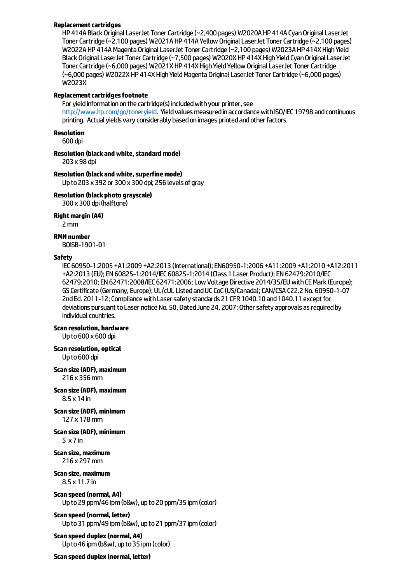#### **Replacementcartridges**

HP 414A Black Original LaserJet Toner Cartridge (~2,400 pages) W2020A HP 414A Cyan Original LaserJet Toner Cartridge (~2,100 pages) W2021A HP 414A Yellow Original LaserJet Toner Cartridge (~2,100 pages) W2022A HP 414A Magenta Original LaserJet Toner Cartridge (~2,100 pages) W2023A HP 414X High Yield Black Original LaserJet Toner Cartridge (~7,500 pages) W2020XHP 414X High Yield Cyan Original LaserJet Toner Cartridge (~6,000 pages) W2021X HP 414X High Yield Yellow Original LaserJet Toner Cartridge (~6,000 pages)W2022XHP 414XHighYieldMagentaOriginalLaserJetTonerCartridge(~6,000 pages) W2023X

#### **Replacement cartridges footnote**

For yield information on the cartridge(s) included with your printer, see <http://www.hp.com/go/toneryield>. Yield values measured in accordance with ISO/IEC 19798 and continuous printing. Actual yields vary considerably based on images printed and other factors.

**Resolution**

600 dpi

**Resolution (black and white, standard mode)** 

203 x 98 dpi

#### **Resolution (black and white, superfine mode)**

Up to 203 x 392 or 300 x 300 dpi; 256 levels of gray

#### **Resolution (blackphoto grayscale)**

300 x 300 dpi(halftone)

#### **Right margin (A4)**

2mm

#### **RMN number**

BOISB-1901-01

#### **Safety**

IEC60950-1:2005 +A1:2009 +A2:2013 (International);EN60950-1:2006 +A11:2009 +A1:2010 +A12:2011 +A2:2013 (EU);EN60825-1:2014/IEC60825-1:2014 (Class 1 Laser Product);EN62479:2010/IEC 62479:2010; EN 62471:2008/IEC 62471:2006; Low Voltage Directive 2014/35/EU with CE Mark (Europe); GS Certificate (Germany, Europe); UL/cUL Listed and UC CoC (US/Canada); CAN/CSA C22.2 No. 60950-1-07 2nd Ed. 2011-12; Compliance with Laser safety standards 21 CFR 1040.10 and 1040.11 except for deviations pursuant to Laser notice No. 50, Dated June 24, 2007; Other safety approvals as required by individual countries.

## **Scan resolution, hardware**

Upto600 x 600 dpi

- **Scan resolution, optical** Upto600 dpi
- **Scan size(ADF),maximum** 216 x 356mm
- **Scan size(ADF),maximum** 8.5 x 14 in

**Scan size (ADF), minimum** 127 x 178mm

- **Scan size (ADF), minimum** 5 x 7 in
- **Scan size, maximum** 216 x 297mm

**Scan size, maximum** 8.5 x 11.7 in

**Scan speed (normal, A4)** Up to 29 ppm/46 ipm (b&w), up to 20 ppm/35 ipm (color)

## **Scan speed (normal, letter)**

Up to 31 ppm/49 ipm (b&w), up to 21 ppm/37 ipm (color)

**Scan speed duplex(normal, A4)** Up to 46 ipm (b&w), up to 35 ipm (color)

**Scan speed duplex(normal, letter)**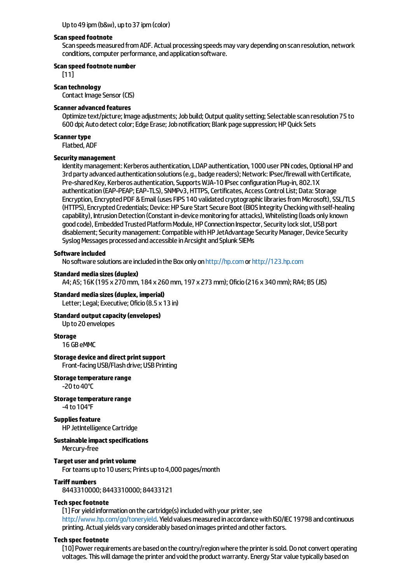#### **Scan speed footnote**

Scan speeds measured from ADF. Actual processing speeds may vary depending on scan resolution, network conditions, computer performance, and application software.

#### **Scan speed footnote number**

[11]

#### **Scan technology**

Contact Image Sensor (CIS)

#### **Scanner advanced features**

Optimize text/picture; Image adjustments; Job build; Output quality setting; Selectable scan resolution 75 to 600 dpi; Auto detect color; Edge Erase; Job notification; Blank page suppression; HP Quick Sets

#### **Scanner type**

Flatbed, ADF

#### **Securitymanagement**

Identity management: Kerberos authentication, LDAP authentication, 1000 user PIN codes, Optional HP and 3rd party advanced authentication solutions (e.g., badge readers); Network: IPsec/firewall with Certificate, Pre-shared Key, Kerberos authentication, Supports WJA-10 IPsec configuration Plug-in, 802.1X authentication (EAP-PEAP; EAP-TLS), SNMPv3, HTTPS, Certificates, Access Control List; Data: Storage Encryption, Encrypted PDF & Email (uses FIPS 140 validated cryptographic libraries from Microsoft), SSL/TLS (HTTPS), Encrypted Credentials; Device: HP Sure Start Secure Boot (BIOS Integrity Checking with self-healing capability), Intrusion Detection (Constant in-device monitoring for attacks), Whitelisting (loads only known good code), Embedded Trusted Platform Module, HP Connection Inspector, Security lock slot, USB port disablement; Security management: Compatible with HP JetAdvantage Security Manager, Device Security Syslog Messages processed and accessible in Arcsight and Splunk SIEMs

#### **Software included**

No software solutions are included in the Box only on <http://hp.com> or <http://123.hp.com>

#### **Standardmediasizes(duplex)**

A4; A5; 16K (195 x 270mm, 184 x 260mm, 197 x 273mm); Oficio(216 x 340mm); RA4; B5 (JIS)

#### **Standardmediasizes(duplex, imperial)**

Letter;Legal;Executive; Oficio(8.5 x 13 in)

#### **Standard outputcapacity(envelopes)**

Upto20 envelopes

## **Storage**

16 GBeMMC

#### **Storage deviceand direct printsupport**

Front-facing USB/Flash drive; USB Printing

#### **Storage temperature range**

 $-20$  to  $40^{\circ}$ C

## **Storage temperature range**

-4 to104°F

## **Supplies feature**

HP JetIntelligence Cartridge

## **Sustainable impact specifications**

Mercury-free

## **Target user and print volume**

For teams up to 10 users; Prints up to 4,000 pages/month

## **Tariff numbers**

8443310000; 8443310000; 84433121

## **Tech specfootnote**

[1] For yield information on the cartridge(s) included with your printer, see

<http://www.hp.com/go/toneryield>. Yield values measured in accordance with ISO/IEC 19798 and continuous printing. Actual yields vary considerably based on images printed and other factors.

#### **Tech specfootnote**

[10] Power requirements are based on the country/region where the printer is sold. Do not convert operating voltages. This will damage the printer and void the product warranty. Energy Star value typically based on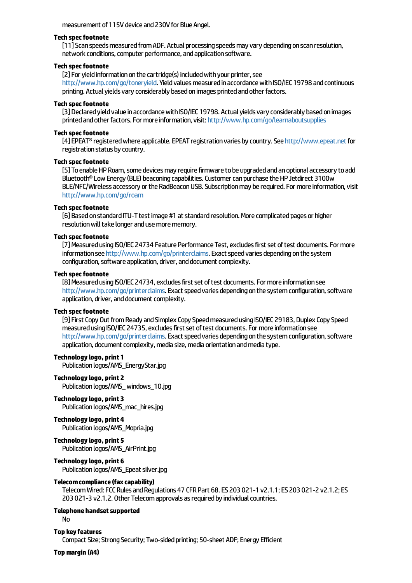measurement of 115V device and 230V for Blue Angel.

#### **Tech specfootnote**

[11] Scan speeds measured from ADF. Actual processing speeds may vary depending on scan resolution, network conditions, computer performance, and application software.

#### **Tech specfootnote**

[2] For vield information on the cartridge(s) included with your printer, see <http://www.hp.com/go/toneryield>. Yield values measured in accordance with ISO/IEC 19798 and continuous printing. Actual yields vary considerably based on images printed and other factors.

#### **Tech specfootnote**

[3] Declared yield value in accordance with ISO/IEC 19798. Actual yields vary considerably based on images printed and other factors. For more information, visit: <http://www.hp.com/go/learnaboutsupplies>

#### **Tech spec footnote**

[4] EPEAT<sup>®</sup> registered where applicable. EPEAT registration varies by country. See <http://www.epeat.net> for registration status by country.

## **Tech spec footnote**

[5] To enable HP Roam, some devices may require firmware to be upgraded and an optional accessory to add Bluetooth® Low Energy (BLE) beaconing capabilities. Customer can purchase the HP Jetdirect 3100w BLE/NFC/Wireless accessory or the RadBeacon USB. Subscription may be required. For more information, visit <http://www.hp.com/go/roam>

#### **Tech specfootnote**

[6] Based on standard ITU-T test image #1 at standard resolution. More complicated pages or higher resolution will take longer and use more memory.

#### **Tech specfootnote**

[7] Measured using ISO/IEC 24734 Feature Performance Test, excludes first set of test documents. For more information see <http://www.hp.com/go/printerclaims>. Exact speed varies depending on the system configuration, software application, driver, and document complexity.

#### **Tech specfootnote**

[8] Measured using ISO/IEC 24734, excludes first set of test documents. For more information see <http://www.hp.com/go/printerclaims>. Exact speed varies depending on the system configuration, software application, driver, and document complexity.

#### **Tech specfootnote**

[9]FirstCopy OutfromReadyandSimplexCopySpeedmeasuredusingISO/IEC29183, DuplexCopySpeed measured using ISO/IEC 24735, excludes first set of test documents. For more information see <http://www.hp.com/go/printerclaims>. Exact speed varies depending on the system configuration, software application, document complexity, media size, media orientation and media type.

#### **Technologylogo, print 1**

Publicationlogos/AMS\_EnergyStar.jpg

#### **Technologylogo, print 2**

Publication logos/AMS\_windows\_10.jpg

#### **Technologylogo, print 3** Publication logos/AMS\_mac\_hires.jpg

**Technologylogo, print 4** Publication logos/AMS\_Mopria.jpg

## **Technologylogo, print 5**

Publication logos/AMS\_AirPrint.jpg

## **Technologylogo, print 6**

Publication logos/AMS\_Epeat silver.jpg

### **Telecomcompliance(faxcapability)**

Telecom Wired: FCC Rules and Regulations 47 CFR Part 68. ES 203 021-1 v2.1.1; ES 203 021-2 v2.1.2; ES 203 021-3 v2.1.2. Other Telecom approvals as required by individual countries.

#### **Telephone handsetsupported**

No

#### **Top keyfeatures**

Compact Size; Strong Security; Two-sided printing; 50-sheet ADF; Energy Efficient

**Top margin (A4)**